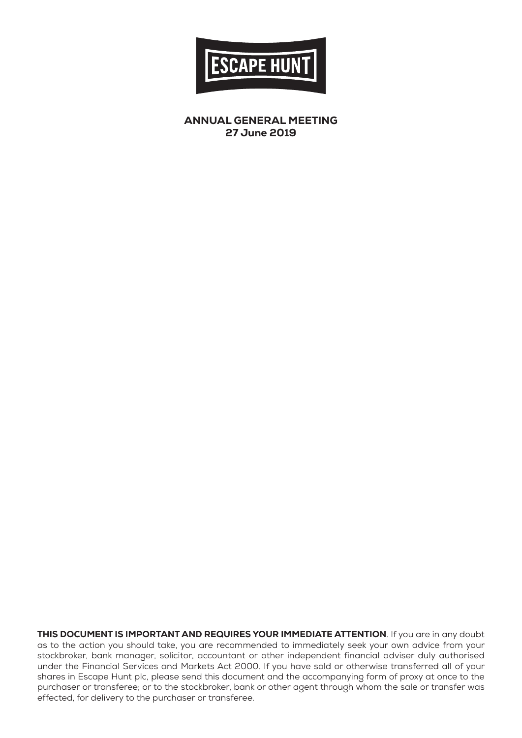

ANNUAL GENERAL MEETING 27 June 2019

THIS DOCUMENT IS IMPORTANT AND REQUIRES YOUR IMMEDIATE ATTENTION. If you are in any doubt as to the action you should take, you are recommended to immediately seek your own advice from your stockbroker, bank manager, solicitor, accountant or other independent financial adviser duly authorised under the Financial Services and Markets Act 2000. If you have sold or otherwise transferred all of your shares in Escape Hunt plc, please send this document and the accompanying form of proxy at once to the purchaser or transferee; or to the stockbroker, bank or other agent through whom the sale or transfer was effected, for delivery to the purchaser or transferee.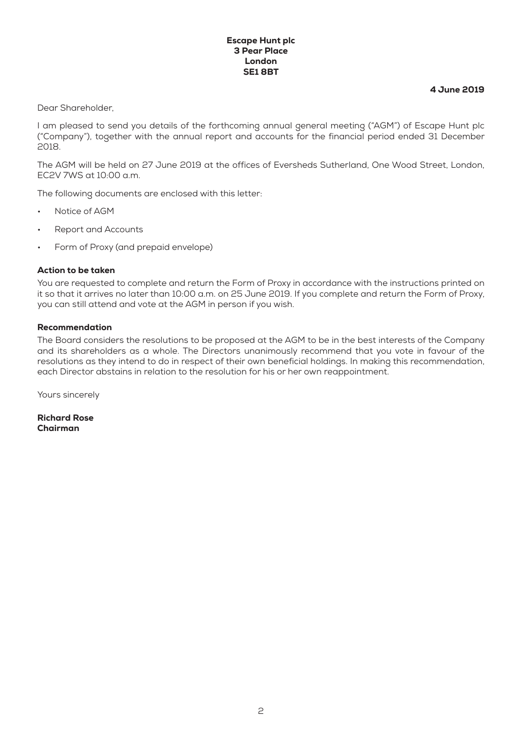#### Escape Hunt plc 3 Pear Place London SE1 8BT

4 June 2019

Dear Shareholder,

I am pleased to send you details of the forthcoming annual general meeting ("AGM") of Escape Hunt plc ("Company"), together with the annual report and accounts for the financial period ended 31 December 2018.

The AGM will be held on 27 June 2019 at the offices of Eversheds Sutherland, One Wood Street, London, EC2V 7WS at 10:00 a.m.

The following documents are enclosed with this letter:

- Notice of AGM
- Report and Accounts
- Form of Proxy (and prepaid envelope)

#### Action to be taken

You are requested to complete and return the Form of Proxy in accordance with the instructions printed on it so that it arrives no later than 10:00 a.m. on 25 June 2019. If you complete and return the Form of Proxy, you can still attend and vote at the AGM in person if you wish.

#### Recommendation

The Board considers the resolutions to be proposed at the AGM to be in the best interests of the Company and its shareholders as a whole. The Directors unanimously recommend that you vote in favour of the resolutions as they intend to do in respect of their own beneficial holdings. In making this recommendation, each Director abstains in relation to the resolution for his or her own reappointment.

Yours sincerely

Richard Rose Chairman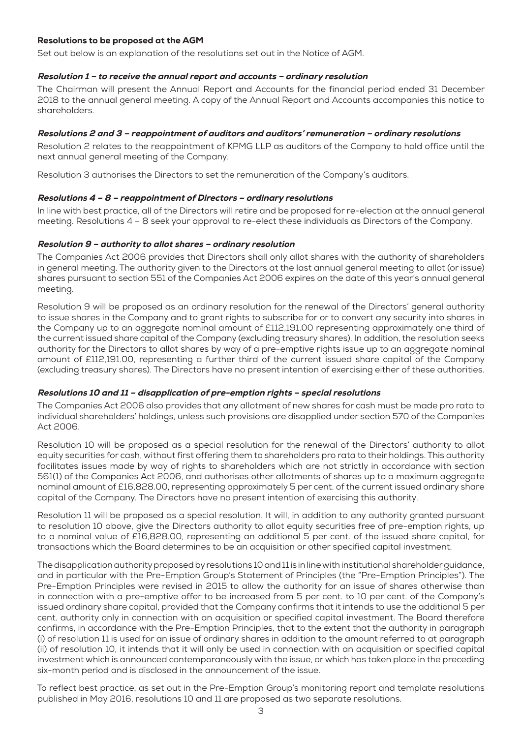## Resolutions to be proposed at the AGM

Set out below is an explanation of the resolutions set out in the Notice of AGM.

### Resolution 1 – to receive the annual report and accounts – ordinary resolution

The Chairman will present the Annual Report and Accounts for the financial period ended 31 December 2018 to the annual general meeting. A copy of the Annual Report and Accounts accompanies this notice to shareholders.

## Resolutions 2 and 3 – reappointment of auditors and auditors' remuneration – ordinary resolutions

Resolution 2 relates to the reappointment of KPMG LLP as auditors of the Company to hold office until the next annual general meeting of the Company.

Resolution 3 authorises the Directors to set the remuneration of the Company's auditors.

#### Resolutions 4 – 8 – reappointment of Directors – ordinary resolutions

In line with best practice, all of the Directors will retire and be proposed for re-election at the annual general meeting. Resolutions 4 – 8 seek your approval to re-elect these individuals as Directors of the Company.

#### Resolution 9 – authority to allot shares – ordinary resolution

The Companies Act 2006 provides that Directors shall only allot shares with the authority of shareholders in general meeting. The authority given to the Directors at the last annual general meeting to allot (or issue) shares pursuant to section 551 of the Companies Act 2006 expires on the date of this year's annual general meeting.

Resolution 9 will be proposed as an ordinary resolution for the renewal of the Directors' general authority to issue shares in the Company and to grant rights to subscribe for or to convert any security into shares in the Company up to an aggregate nominal amount of £112,191.00 representing approximately one third of the current issued share capital of the Company (excluding treasury shares). In addition, the resolution seeks authority for the Directors to allot shares by way of a pre-emptive rights issue up to an aggregate nominal amount of £112,191.00, representing a further third of the current issued share capital of the Company (excluding treasury shares). The Directors have no present intention of exercising either of these authorities.

## Resolutions 10 and 11 – disapplication of pre-emption rights – special resolutions

The Companies Act 2006 also provides that any allotment of new shares for cash must be made pro rata to individual shareholders' holdings, unless such provisions are disapplied under section 570 of the Companies Act 2006.

Resolution 10 will be proposed as a special resolution for the renewal of the Directors' authority to allot equity securities for cash, without first offering them to shareholders pro rata to their holdings. This authority facilitates issues made by way of rights to shareholders which are not strictly in accordance with section 561(1) of the Companies Act 2006, and authorises other allotments of shares up to a maximum aggregate nominal amount of £16,828.00, representing approximately 5 per cent. of the current issued ordinary share capital of the Company. The Directors have no present intention of exercising this authority.

Resolution 11 will be proposed as a special resolution. It will, in addition to any authority granted pursuant to resolution 10 above, give the Directors authority to allot equity securities free of pre-emption rights, up to a nominal value of £16,828.00, representing an additional 5 per cent. of the issued share capital, for transactions which the Board determines to be an acquisition or other specified capital investment.

The disapplication authority proposed by resolutions 10 and 11 is in line with institutional shareholder guidance, and in particular with the Pre-Emption Group's Statement of Principles (the "Pre-Emption Principles"). The Pre-Emption Principles were revised in 2015 to allow the authority for an issue of shares otherwise than in connection with a pre-emptive offer to be increased from 5 per cent. to 10 per cent. of the Company's issued ordinary share capital, provided that the Company confirms that it intends to use the additional 5 per cent. authority only in connection with an acquisition or specified capital investment. The Board therefore confirms, in accordance with the Pre-Emption Principles, that to the extent that the authority in paragraph (i) of resolution 11 is used for an issue of ordinary shares in addition to the amount referred to at paragraph (ii) of resolution 10, it intends that it will only be used in connection with an acquisition or specified capital investment which is announced contemporaneously with the issue, or which has taken place in the preceding six-month period and is disclosed in the announcement of the issue.

To reflect best practice, as set out in the Pre-Emption Group's monitoring report and template resolutions published in May 2016, resolutions 10 and 11 are proposed as two separate resolutions.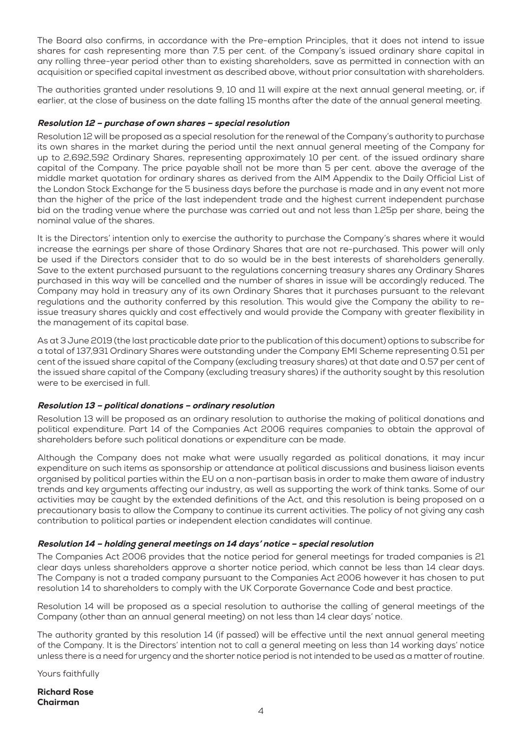The Board also confirms, in accordance with the Pre-emption Principles, that it does not intend to issue shares for cash representing more than 7.5 per cent. of the Company's issued ordinary share capital in any rolling three-year period other than to existing shareholders, save as permitted in connection with an acquisition or specified capital investment as described above, without prior consultation with shareholders.

The authorities granted under resolutions 9, 10 and 11 will expire at the next annual general meeting, or, if earlier, at the close of business on the date falling 15 months after the date of the annual general meeting.

## Resolution 12 – purchase of own shares – special resolution

Resolution 12 will be proposed as a special resolution for the renewal of the Company's authority to purchase its own shares in the market during the period until the next annual general meeting of the Company for up to 2,692,592 Ordinary Shares, representing approximately 10 per cent. of the issued ordinary share capital of the Company. The price payable shall not be more than 5 per cent. above the average of the middle market quotation for ordinary shares as derived from the AIM Appendix to the Daily Official List of the London Stock Exchange for the 5 business days before the purchase is made and in any event not more than the higher of the price of the last independent trade and the highest current independent purchase bid on the trading venue where the purchase was carried out and not less than 1.25p per share, being the nominal value of the shares.

It is the Directors' intention only to exercise the authority to purchase the Company's shares where it would increase the earnings per share of those Ordinary Shares that are not re-purchased. This power will only be used if the Directors consider that to do so would be in the best interests of shareholders generally. Save to the extent purchased pursuant to the regulations concerning treasury shares any Ordinary Shares purchased in this way will be cancelled and the number of shares in issue will be accordingly reduced. The Company may hold in treasury any of its own Ordinary Shares that it purchases pursuant to the relevant regulations and the authority conferred by this resolution. This would give the Company the ability to reissue treasury shares quickly and cost effectively and would provide the Company with greater flexibility in the management of its capital base.

As at 3 June 2019 (the last practicable date prior to the publication of this document) options to subscribe for a total of 137,931 Ordinary Shares were outstanding under the Company EMI Scheme representing 0.51 per cent of the issued share capital of the Company (excluding treasury shares) at that date and 0.57 per cent of the issued share capital of the Company (excluding treasury shares) if the authority sought by this resolution were to be exercised in full.

# Resolution 13 – political donations – ordinary resolution

Resolution 13 will be proposed as an ordinary resolution to authorise the making of political donations and political expenditure. Part 14 of the Companies Act 2006 requires companies to obtain the approval of shareholders before such political donations or expenditure can be made.

Although the Company does not make what were usually regarded as political donations, it may incur expenditure on such items as sponsorship or attendance at political discussions and business liaison events organised by political parties within the EU on a non-partisan basis in order to make them aware of industry trends and key arguments affecting our industry, as well as supporting the work of think tanks. Some of our activities may be caught by the extended definitions of the Act, and this resolution is being proposed on a precautionary basis to allow the Company to continue its current activities. The policy of not giving any cash contribution to political parties or independent election candidates will continue.

## Resolution 14 – holding general meetings on 14 days' notice – special resolution

The Companies Act 2006 provides that the notice period for general meetings for traded companies is 21 clear days unless shareholders approve a shorter notice period, which cannot be less than 14 clear days. The Company is not a traded company pursuant to the Companies Act 2006 however it has chosen to put resolution 14 to shareholders to comply with the UK Corporate Governance Code and best practice.

Resolution 14 will be proposed as a special resolution to authorise the calling of general meetings of the Company (other than an annual general meeting) on not less than 14 clear days' notice.

The authority granted by this resolution 14 (if passed) will be effective until the next annual general meeting of the Company. It is the Directors' intention not to call a general meeting on less than 14 working days' notice unless there is a need for urgency and the shorter notice period is not intended to be used as a matter of routine.

Yours faithfully

Richard Rose Chairman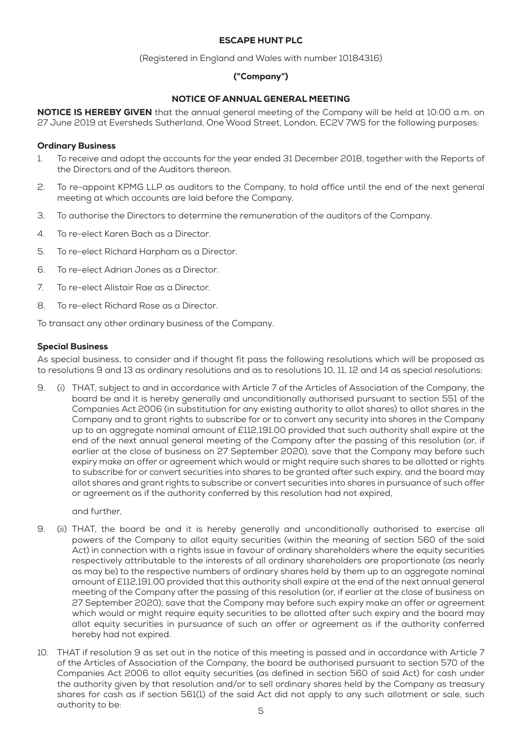## ESCAPE HUNT PLC

(Registered in England and Wales with number 10184316)

# ("Company")

# NOTICE OF ANNUAL GENERAL MEETING

NOTICE IS HEREBY GIVEN that the annual general meeting of the Company will be held at 10:00 a.m. on 27 June 2019 at Eversheds Sutherland, One Wood Street, London, EC2V 7WS for the following purposes:

## Ordinary Business

- 1. To receive and adopt the accounts for the year ended 31 December 2018, together with the Reports of the Directors and of the Auditors thereon.
- 2. To re-appoint KPMG LLP as auditors to the Company, to hold office until the end of the next general meeting at which accounts are laid before the Company.
- 3. To authorise the Directors to determine the remuneration of the auditors of the Company.
- 4. To re-elect Karen Bach as a Director.
- 5. To re-elect Richard Harpham as a Director.
- 6. To re-elect Adrian Jones as a Director.
- 7. To re-elect Alistair Rae as a Director.
- 8. To re-elect Richard Rose as a Director.

To transact any other ordinary business of the Company.

## Special Business

As special business, to consider and if thought fit pass the following resolutions which will be proposed as to resolutions 9 and 13 as ordinary resolutions and as to resolutions 10, 11, 12 and 14 as special resolutions:

9. (i) THAT, subject to and in accordance with Article 7 of the Articles of Association of the Company, the board be and it is hereby generally and unconditionally authorised pursuant to section 551 of the Companies Act 2006 (in substitution for any existing authority to allot shares) to allot shares in the Company and to grant rights to subscribe for or to convert any security into shares in the Company up to an aggregate nominal amount of £112,191.00 provided that such authority shall expire at the end of the next annual general meeting of the Company after the passing of this resolution (or, if earlier at the close of business on 27 September 2020), save that the Company may before such expiry make an offer or agreement which would or might require such shares to be allotted or rights to subscribe for or convert securities into shares to be granted after such expiry, and the board may allot shares and grant rights to subscribe or convert securities into shares in pursuance of such offer or agreement as if the authority conferred by this resolution had not expired,

and further,

- 9. (ii) THAT, the board be and it is hereby generally and unconditionally authorised to exercise all powers of the Company to allot equity securities (within the meaning of section 560 of the said Act) in connection with a rights issue in favour of ordinary shareholders where the equity securities respectively attributable to the interests of all ordinary shareholders are proportionate (as nearly as may be) to the respective numbers of ordinary shares held by them up to an aggregate nominal amount of £112,191.00 provided that this authority shall expire at the end of the next annual general meeting of the Company after the passing of this resolution (or, if earlier at the close of business on 27 September 2020), save that the Company may before such expiry make an offer or agreement which would or might require equity securities to be allotted after such expiry and the board may allot equity securities in pursuance of such an offer or agreement as if the authority conferred hereby had not expired.
- 10. THAT if resolution 9 as set out in the notice of this meeting is passed and in accordance with Article 7 of the Articles of Association of the Company, the board be authorised pursuant to section 570 of the Companies Act 2006 to allot equity securities (as defined in section 560 of said Act) for cash under the authority given by that resolution and/or to sell ordinary shares held by the Company as treasury shares for cash as if section 561(1) of the said Act did not apply to any such allotment or sale, such authority to be: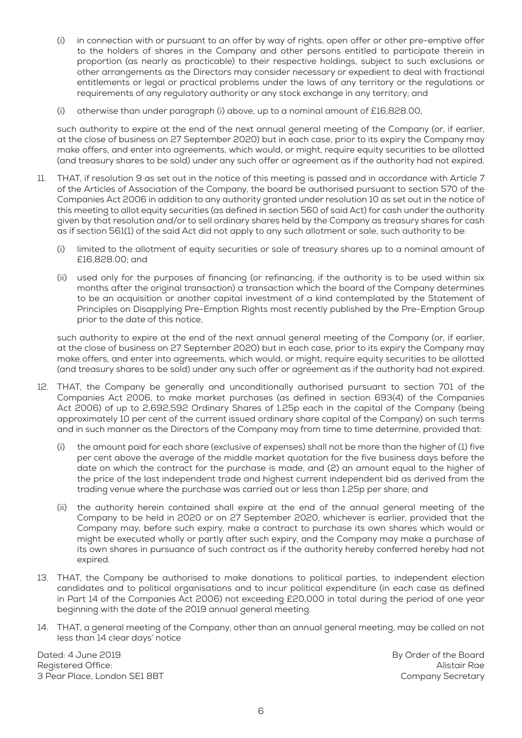- (i) in connection with or pursuant to an offer by way of rights, open offer or other pre-emptive offer to the holders of shares in the Company and other persons entitled to participate therein in proportion (as nearly as practicable) to their respective holdings, subject to such exclusions or other arrangements as the Directors may consider necessary or expedient to deal with fractional entitlements or legal or practical problems under the laws of any territory or the regulations or requirements of any regulatory authority or any stock exchange in any territory; and
- (i) otherwise than under paragraph (i) above, up to a nominal amount of £16,828.00,

such authority to expire at the end of the next annual general meeting of the Company (or, if earlier, at the close of business on 27 September 2020) but in each case, prior to its expiry the Company may make offers, and enter into agreements, which would, or might, require equity securities to be allotted (and treasury shares to be sold) under any such offer or agreement as if the authority had not expired.

- 11. THAT, if resolution 9 as set out in the notice of this meeting is passed and in accordance with Article 7 of the Articles of Association of the Company, the board be authorised pursuant to section 570 of the Companies Act 2006 in addition to any authority granted under resolution 10 as set out in the notice of this meeting to allot equity securities (as defined in section 560 of said Act) for cash under the authority given by that resolution and/or to sell ordinary shares held by the Company as treasury shares for cash as if section 561(1) of the said Act did not apply to any such allotment or sale, such authority to be:
	- (i) limited to the allotment of equity securities or sale of treasury shares up to a nominal amount of £16,828.00; and
	- (ii) used only for the purposes of financing (or refinancing, if the authority is to be used within six months after the original transaction) a transaction which the board of the Company determines to be an acquisition or another capital investment of a kind contemplated by the Statement of Principles on Disapplying Pre-Emption Rights most recently published by the Pre-Emption Group prior to the date of this notice,

such authority to expire at the end of the next annual general meeting of the Company (or, if earlier, at the close of business on 27 September 2020) but in each case, prior to its expiry the Company may make offers, and enter into agreements, which would, or might, require equity securities to be allotted (and treasury shares to be sold) under any such offer or agreement as if the authority had not expired.

- 12. THAT, the Company be generally and unconditionally authorised pursuant to section 701 of the Companies Act 2006, to make market purchases (as defined in section 693(4) of the Companies Act 2006) of up to 2,692,592 Ordinary Shares of 1.25p each in the capital of the Company (being approximately 10 per cent of the current issued ordinary share capital of the Company) on such terms and in such manner as the Directors of the Company may from time to time determine, provided that:
	- (i) the amount paid for each share (exclusive of expenses) shall not be more than the higher of (1) five per cent above the average of the middle market quotation for the five business days before the date on which the contract for the purchase is made, and (2) an amount equal to the higher of the price of the last independent trade and highest current independent bid as derived from the trading venue where the purchase was carried out or less than 1.25p per share; and
	- (ii) the authority herein contained shall expire at the end of the annual general meeting of the Company to be held in 2020 or on 27 September 2020, whichever is earlier, provided that the Company may, before such expiry, make a contract to purchase its own shares which would or might be executed wholly or partly after such expiry, and the Company may make a purchase of its own shares in pursuance of such contract as if the authority hereby conferred hereby had not expired.
- 13. THAT, the Company be authorised to make donations to political parties, to independent election candidates and to political organisations and to incur political expenditure (in each case as defined in Part 14 of the Companies Act 2006) not exceeding £20,000 in total during the period of one year beginning with the date of the 2019 annual general meeting.
- 14. THAT, a general meeting of the Company, other than an annual general meeting, may be called on not less than 14 clear days' notice

Dated: 4 June 2019 Registered Office: 3 Pear Place, London SE1 8BT By Order of the Board Alistair Rae Company Secretary